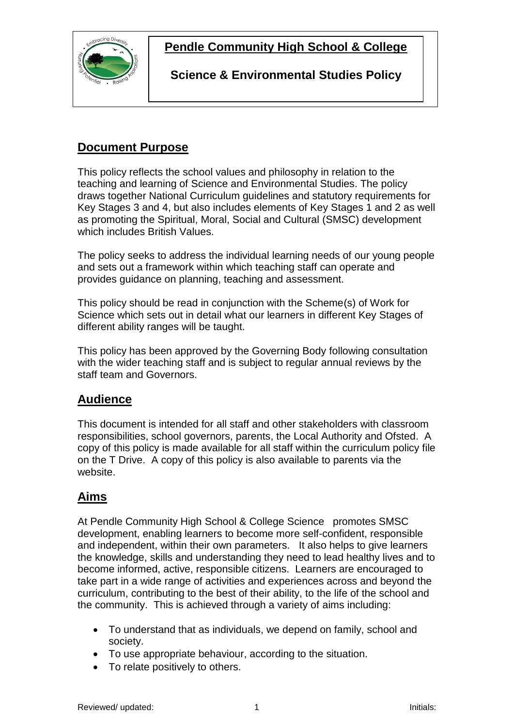

**Pendle Community High School & College**

**Science & Environmental Studies Policy**

# **Document Purpose**

This policy reflects the school values and philosophy in relation to the teaching and learning of Science and Environmental Studies. The policy draws together National Curriculum guidelines and statutory requirements for Key Stages 3 and 4, but also includes elements of Key Stages 1 and 2 as well as promoting the Spiritual, Moral, Social and Cultural (SMSC) development which includes British Values.

The policy seeks to address the individual learning needs of our young people and sets out a framework within which teaching staff can operate and provides guidance on planning, teaching and assessment.

This policy should be read in conjunction with the Scheme(s) of Work for Science which sets out in detail what our learners in different Key Stages of different ability ranges will be taught.

This policy has been approved by the Governing Body following consultation with the wider teaching staff and is subject to regular annual reviews by the staff team and Governors.

### **Audience**

This document is intended for all staff and other stakeholders with classroom responsibilities, school governors, parents, the Local Authority and Ofsted. A copy of this policy is made available for all staff within the curriculum policy file on the T Drive. A copy of this policy is also available to parents via the website.

## **Aims**

At Pendle Community High School & College Science promotes SMSC development, enabling learners to become more self-confident, responsible and independent, within their own parameters. It also helps to give learners the knowledge, skills and understanding they need to lead healthy lives and to become informed, active, responsible citizens. Learners are encouraged to take part in a wide range of activities and experiences across and beyond the curriculum, contributing to the best of their ability, to the life of the school and the community. This is achieved through a variety of aims including:

- To understand that as individuals, we depend on family, school and society.
- To use appropriate behaviour, according to the situation.
- To relate positively to others.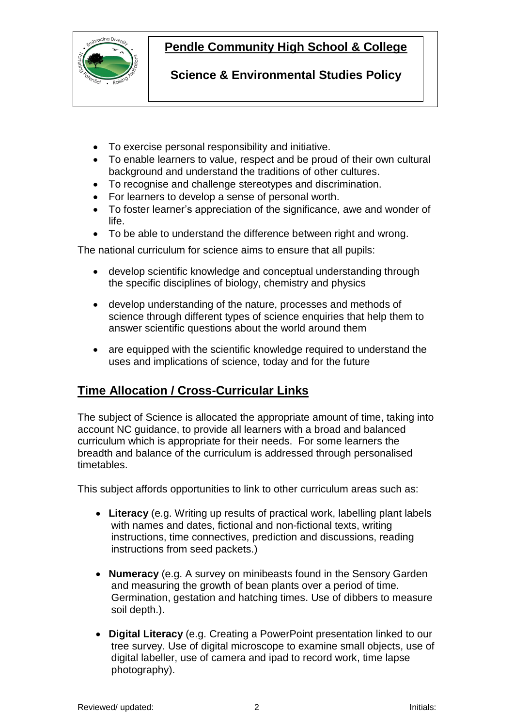

# **Pendle Community High School & College**

**Science & Environmental Studies Policy**

- To exercise personal responsibility and initiative.
- To enable learners to value, respect and be proud of their own cultural background and understand the traditions of other cultures.
- To recognise and challenge stereotypes and discrimination.
- For learners to develop a sense of personal worth.
- To foster learner's appreciation of the significance, awe and wonder of life.
- To be able to understand the difference between right and wrong.

The national curriculum for science aims to ensure that all pupils:

- develop scientific knowledge and conceptual understanding through the specific disciplines of biology, chemistry and physics
- develop understanding of the nature, processes and methods of science through different types of science enquiries that help them to answer scientific questions about the world around them
- are equipped with the scientific knowledge required to understand the uses and implications of science, today and for the future

## **Time Allocation / Cross-Curricular Links**

The subject of Science is allocated the appropriate amount of time, taking into account NC guidance, to provide all learners with a broad and balanced curriculum which is appropriate for their needs. For some learners the breadth and balance of the curriculum is addressed through personalised timetables.

This subject affords opportunities to link to other curriculum areas such as:

- **Literacy** (e.g. Writing up results of practical work, labelling plant labels with names and dates, fictional and non-fictional texts, writing instructions, time connectives, prediction and discussions, reading instructions from seed packets.)
- **Numeracy** (e.g. A survey on minibeasts found in the Sensory Garden and measuring the growth of bean plants over a period of time. Germination, gestation and hatching times. Use of dibbers to measure soil depth.).
- **Digital Literacy** (e.g. Creating a PowerPoint presentation linked to our tree survey. Use of digital microscope to examine small objects, use of digital labeller, use of camera and ipad to record work, time lapse photography).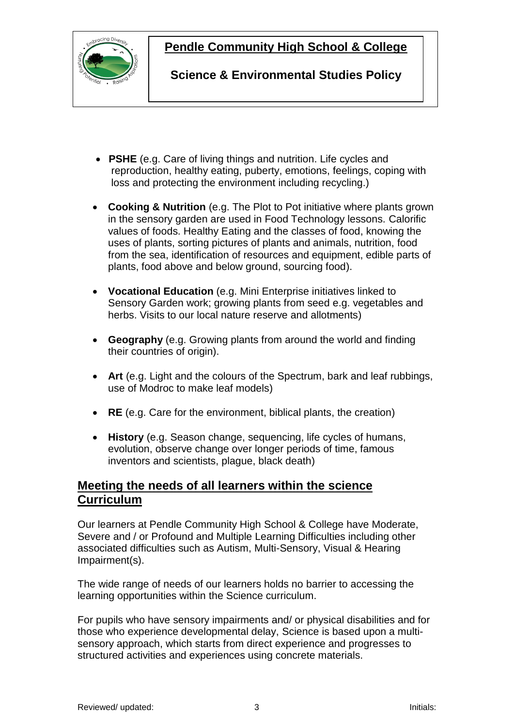

### **Pendle Community High School & College**

**Science & Environmental Studies Policy**

- **PSHE** (e.g. Care of living things and nutrition. Life cycles and reproduction, healthy eating, puberty, emotions, feelings, coping with loss and protecting the environment including recycling.)
- **Cooking & Nutrition** (e.g. The Plot to Pot initiative where plants grown in the sensory garden are used in Food Technology lessons. Calorific values of foods. Healthy Eating and the classes of food, knowing the uses of plants, sorting pictures of plants and animals, nutrition, food from the sea, identification of resources and equipment, edible parts of plants, food above and below ground, sourcing food).
- **Vocational Education** (e.g. Mini Enterprise initiatives linked to Sensory Garden work; growing plants from seed e.g. vegetables and herbs. Visits to our local nature reserve and allotments)
- **Geography** (e.g. Growing plants from around the world and finding their countries of origin).
- **Art** (e.g. Light and the colours of the Spectrum, bark and leaf rubbings, use of Modroc to make leaf models)
- **RE** (e.g. Care for the environment, biblical plants, the creation)
- **History** (e.g. Season change, sequencing, life cycles of humans, evolution, observe change over longer periods of time, famous inventors and scientists, plague, black death)

### **Meeting the needs of all learners within the science Curriculum**

Our learners at Pendle Community High School & College have Moderate, Severe and / or Profound and Multiple Learning Difficulties including other associated difficulties such as Autism, Multi-Sensory, Visual & Hearing Impairment(s).

The wide range of needs of our learners holds no barrier to accessing the learning opportunities within the Science curriculum.

For pupils who have sensory impairments and/ or physical disabilities and for those who experience developmental delay, Science is based upon a multisensory approach, which starts from direct experience and progresses to structured activities and experiences using concrete materials.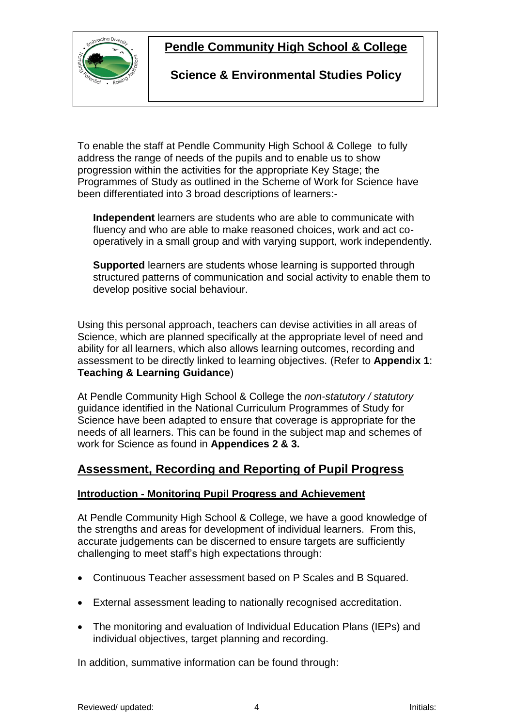

### **Pendle Community High School & College**

### **Science & Environmental Studies Policy**

To enable the staff at Pendle Community High School & College to fully address the range of needs of the pupils and to enable us to show progression within the activities for the appropriate Key Stage; the Programmes of Study as outlined in the Scheme of Work for Science have been differentiated into 3 broad descriptions of learners:-

**Independent** learners are students who are able to communicate with fluency and who are able to make reasoned choices, work and act cooperatively in a small group and with varying support, work independently.

**Supported** learners are students whose learning is supported through structured patterns of communication and social activity to enable them to develop positive social behaviour.

Using this personal approach, teachers can devise activities in all areas of Science, which are planned specifically at the appropriate level of need and ability for all learners, which also allows learning outcomes, recording and assessment to be directly linked to learning objectives. (Refer to **Appendix 1**: **Teaching & Learning Guidance**)

At Pendle Community High School & College the *non-statutory / statutory* guidance identified in the National Curriculum Programmes of Study for Science have been adapted to ensure that coverage is appropriate for the needs of all learners. This can be found in the subject map and schemes of work for Science as found in **Appendices 2 & 3.**

### **Assessment, Recording and Reporting of Pupil Progress**

#### **Introduction - Monitoring Pupil Progress and Achievement**

At Pendle Community High School & College, we have a good knowledge of the strengths and areas for development of individual learners. From this, accurate judgements can be discerned to ensure targets are sufficiently challenging to meet staff's high expectations through:

- Continuous Teacher assessment based on P Scales and B Squared.
- External assessment leading to nationally recognised accreditation.
- The monitoring and evaluation of Individual Education Plans (IEPs) and individual objectives, target planning and recording.

In addition, summative information can be found through: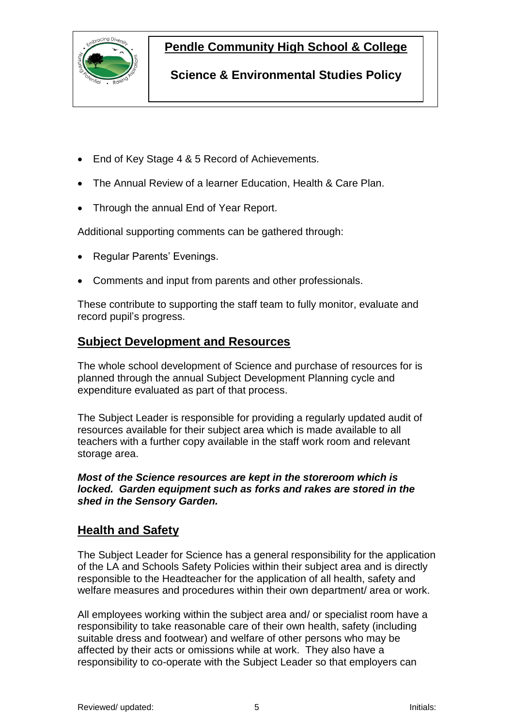

### **Pendle Community High School & College**

**Science & Environmental Studies Policy**

- End of Key Stage 4 & 5 Record of Achievements.
- The Annual Review of a learner Education, Health & Care Plan.
- Through the annual End of Year Report.

Additional supporting comments can be gathered through:

- Regular Parents' Evenings.
- Comments and input from parents and other professionals.

These contribute to supporting the staff team to fully monitor, evaluate and record pupil's progress.

### **Subject Development and Resources**

The whole school development of Science and purchase of resources for is planned through the annual Subject Development Planning cycle and expenditure evaluated as part of that process.

The Subject Leader is responsible for providing a regularly updated audit of resources available for their subject area which is made available to all teachers with a further copy available in the staff work room and relevant storage area.

#### *Most of the Science resources are kept in the storeroom which is locked. Garden equipment such as forks and rakes are stored in the shed in the Sensory Garden.*

### **Health and Safety**

The Subject Leader for Science has a general responsibility for the application of the LA and Schools Safety Policies within their subject area and is directly responsible to the Headteacher for the application of all health, safety and welfare measures and procedures within their own department/ area or work.

All employees working within the subject area and/ or specialist room have a responsibility to take reasonable care of their own health, safety (including suitable dress and footwear) and welfare of other persons who may be affected by their acts or omissions while at work. They also have a responsibility to co-operate with the Subject Leader so that employers can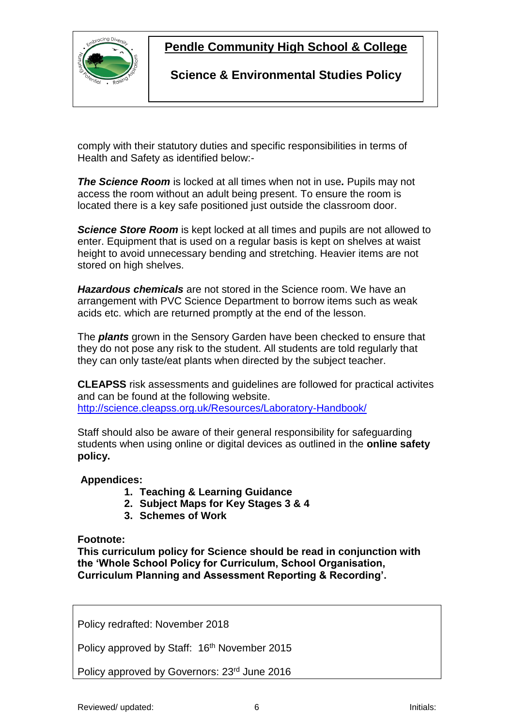

### **Pendle Community High School & College**

**Science & Environmental Studies Policy**

comply with their statutory duties and specific responsibilities in terms of Health and Safety as identified below:-

*The Science Room* is locked at all times when not in use*.* Pupils may not access the room without an adult being present. To ensure the room is located there is a key safe positioned just outside the classroom door.

*Science Store Room* is kept locked at all times and pupils are not allowed to enter. Equipment that is used on a regular basis is kept on shelves at waist height to avoid unnecessary bending and stretching. Heavier items are not stored on high shelves.

*Hazardous chemicals* are not stored in the Science room. We have an arrangement with PVC Science Department to borrow items such as weak acids etc. which are returned promptly at the end of the lesson.

The *plants* grown in the Sensory Garden have been checked to ensure that they do not pose any risk to the student. All students are told regularly that they can only taste/eat plants when directed by the subject teacher.

**CLEAPSS** risk assessments and guidelines are followed for practical activites and can be found at the following website. <http://science.cleapss.org.uk/Resources/Laboratory-Handbook/>

Staff should also be aware of their general responsibility for safeguarding students when using online or digital devices as outlined in the **online safety policy.**

#### **Appendices:**

- **1. Teaching & Learning Guidance**
- **2. Subject Maps for Key Stages 3 & 4**
- **3. Schemes of Work**

#### **Footnote:**

**This curriculum policy for Science should be read in conjunction with the 'Whole School Policy for Curriculum, School Organisation, Curriculum Planning and Assessment Reporting & Recording'.**

Policy redrafted: November 2018

Policy approved by Staff: 16<sup>th</sup> November 2015

Policy approved by Governors: 23<sup>rd</sup> June 2016